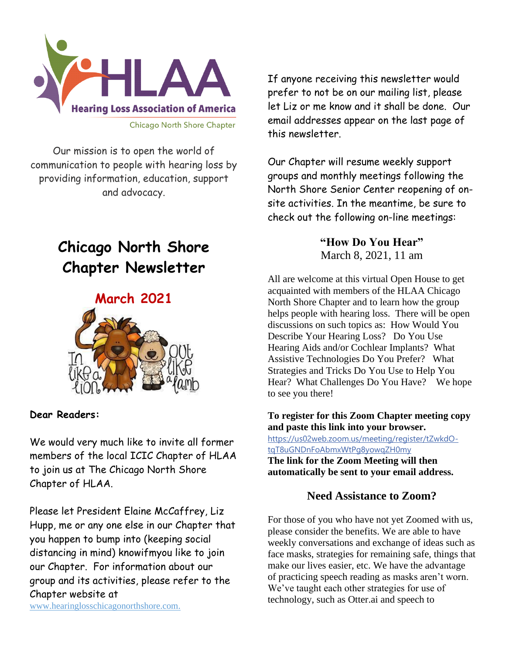

Our mission is to open the world of communication to people with hearing loss by providing information, education, support and advocacy.

# **Chicago North Shore Chapter Newsletter**

# **March 2021**



### **Dear Readers:**

We would very much like to invite all former members of the local ICIC Chapter of HLAA to join us at The Chicago North Shore Chapter of HLAA.

Please let President Elaine McCaffrey, Liz Hupp, me or any one else in our Chapter that you happen to bump into (keeping social distancing in mind) knowifmyou like to join our Chapter. For information about our group and its activities, please refer to the Chapter website at

www.hearinglosschicagonorthshore.com.

If anyone receiving this newsletter would prefer to not be on our mailing list, please let Liz or me know and it shall be done. Our email addresses appear on the last page of this newsletter.

Our Chapter will resume weekly support groups and monthly meetings following the North Shore Senior Center reopening of onsite activities. In the meantime, be sure to check out the following on-line meetings:

### **"How Do You Hear"** March 8, 2021, 11 am

All are welcome at this virtual Open House to get acquainted with members of the HLAA Chicago North Shore Chapter and to learn how the group helps people with hearing loss. There will be open discussions on such topics as: How Would You Describe Your Hearing Loss? Do You Use Hearing Aids and/or Cochlear Implants? What Assistive Technologies Do You Prefer? What Strategies and Tricks Do You Use to Help You Hear? What Challenges Do You Have? We hope to see you there!

**To register for this Zoom Chapter meeting copy and paste this link into your browser.** [https://us02web.zoom.us/meeting/register/tZwkdO](https://us02web.zoom.us/meeting/register/tZwkdO-tqT8uGNDnFoAbmxWtPg8yowqZH0my)[tqT8uGNDnFoAbmxWtPg8yowqZH0my](https://us02web.zoom.us/meeting/register/tZwkdO-tqT8uGNDnFoAbmxWtPg8yowqZH0my)

**The link for the Zoom Meeting will then automatically be sent to your email address.**

### **Need Assistance to Zoom?**

For those of you who have not yet Zoomed with us, please consider the benefits. We are able to have weekly conversations and exchange of ideas such as face masks, strategies for remaining safe, things that make our lives easier, etc. We have the advantage of practicing speech reading as masks aren't worn. We've taught each other strategies for use of technology, such as Otter.ai and speech to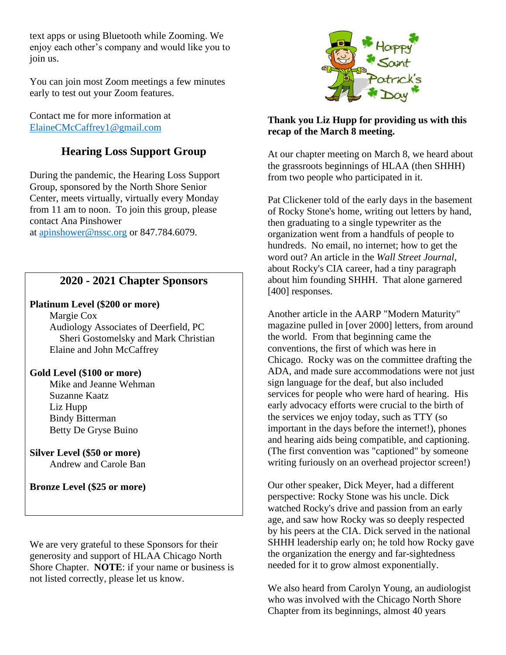text apps or using Bluetooth while Zooming. We enjoy each other's company and would like you to join us.

You can join most Zoom meetings a few minutes early to test out your Zoom features.

Contact me for more information at [ElaineCMcCaffrey1@gmail.com](mailto:ElaineCMcCaffrey1@gmail.com)

## **Hearing Loss Support Group**

During the pandemic, the Hearing Loss Support Group, sponsored by the North Shore Senior Center, meets virtually, virtually every Monday from 11 am to noon. To join this group, please contact Ana Pinshower at [apinshower@nssc.org](mailto:apinshower@nssc.org) or 847.784.6079.

### **2020 - 2021 Chapter Sponsors**

### **Platinum Level (\$200 or more)**

 Margie Cox Audiology Associates of Deerfield, PC Sheri Gostomelsky and Mark Christian Elaine and John McCaffrey

### **Gold Level (\$100 or more)**

 Mike and Jeanne Wehman Suzanne Kaatz Liz Hupp Bindy Bitterman Betty De Gryse Buino

### **Silver Level (\$50 or more)** Andrew and Carole Ban

**Bronze Level (\$25 or more)**

We are very grateful to these Sponsors for their generosity and support of HLAA Chicago North Shore Chapter. **NOTE**: if your name or business is not listed correctly, please let us know.



#### **Thank you Liz Hupp for providing us with this recap of the March 8 meeting.**

At our chapter meeting on March 8, we heard about the grassroots beginnings of HLAA (then SHHH) from two people who participated in it.

Pat Clickener told of the early days in the basement of Rocky Stone's home, writing out letters by hand, then graduating to a single typewriter as the organization went from a handfuls of people to hundreds. No email, no internet; how to get the word out? An article in the *Wall Street Journal*, about Rocky's CIA career, had a tiny paragraph about him founding SHHH. That alone garnered [400] responses.

Another article in the AARP "Modern Maturity" magazine pulled in [over 2000] letters, from around the world. From that beginning came the conventions, the first of which was here in Chicago. Rocky was on the committee drafting the ADA, and made sure accommodations were not just sign language for the deaf, but also included services for people who were hard of hearing. His early advocacy efforts were crucial to the birth of the services we enjoy today, such as TTY (so important in the days before the internet!), phones and hearing aids being compatible, and captioning. (The first convention was "captioned" by someone writing furiously on an overhead projector screen!)

Our other speaker, Dick Meyer, had a different perspective: Rocky Stone was his uncle. Dick watched Rocky's drive and passion from an early age, and saw how Rocky was so deeply respected by his peers at the CIA. Dick served in the national SHHH leadership early on; he told how Rocky gave the organization the energy and far-sightedness needed for it to grow almost exponentially.

We also heard from Carolyn Young, an audiologist who was involved with the Chicago North Shore Chapter from its beginnings, almost 40 years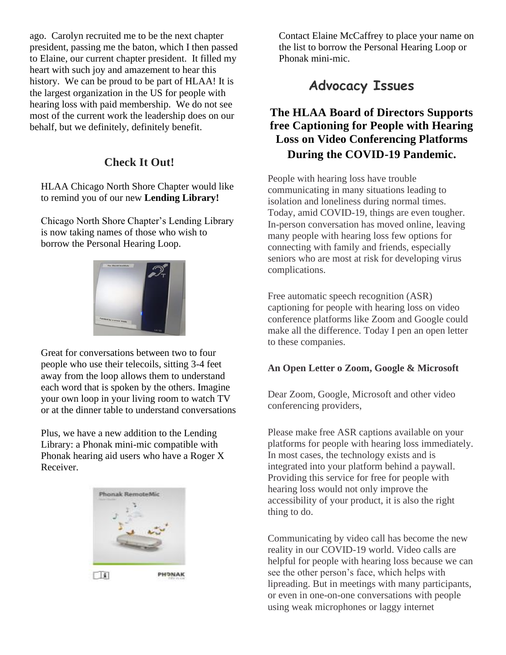ago. Carolyn recruited me to be the next chapter president, passing me the baton, which I then passed to Elaine, our current chapter president. It filled my heart with such joy and amazement to hear this history. We can be proud to be part of HLAA! It is the largest organization in the US for people with hearing loss with paid membership. We do not see most of the current work the leadership does on our behalf, but we definitely, definitely benefit.

### **Check It Out!**

HLAA Chicago North Shore Chapter would like to remind you of our new **Lending Library!**

Chicago North Shore Chapter's Lending Library is now taking names of those who wish to borrow the Personal Hearing Loop.



Great for conversations between two to four people who use their telecoils, sitting 3-4 feet away from the loop allows them to understand each word that is spoken by the others. Imagine your own loop in your living room to watch TV or at the dinner table to understand conversations

Plus, we have a new addition to the Lending Library: a Phonak mini-mic compatible with Phonak hearing aid users who have a Roger X Receiver.



Contact Elaine McCaffrey to place your name on the list to borrow the Personal Hearing Loop or Phonak mini-mic.

# **Advocacy Issues**

## **The HLAA Board of Directors Supports free Captioning for People with Hearing Loss on Video Conferencing Platforms During the COVID-19 Pandemic.**

People with hearing loss have trouble communicating in many situations leading to isolation and loneliness during normal times. Today, amid COVID-19, things are even tougher. In-person conversation has moved online, leaving many people with hearing loss few options for connecting with family and friends, especially seniors who are most at risk for developing virus complications.

Free automatic speech recognition (ASR) captioning for people with hearing loss on video conference platforms like Zoom and Google could make all the difference. Today I pen an open letter to these companies.

### **An Open Letter o Zoom, Google & Microsoft**

Dear Zoom, Google, Microsoft and other video conferencing providers,

Please make free ASR captions available on your platforms for people with hearing loss immediately. In most cases, the technology exists and is integrated into your platform behind a paywall. Providing this service for free for people with hearing loss would not only improve the accessibility of your product, it is also the right thing to do.

Communicating by video call has become the new reality in our COVID-19 world. Video calls are helpful for people with hearing loss because we can see the other person's face, which helps with lipreading. But in meetings with many participants, or even in one-on-one conversations with people using weak microphones or laggy internet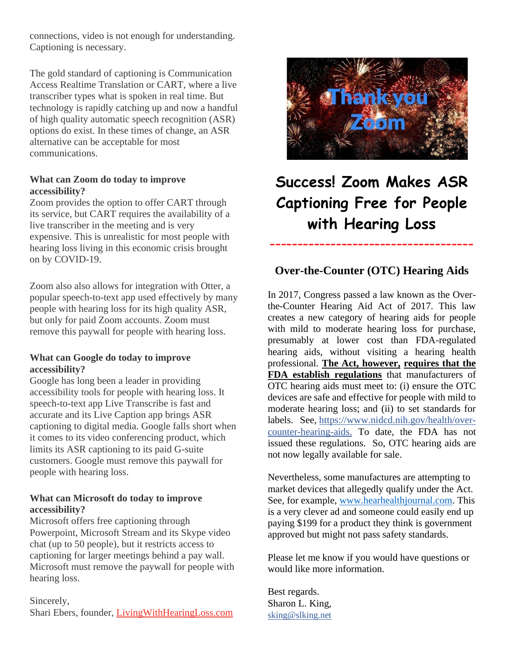connections, video is not enough for understanding. Captioning is necessary.

The gold standard of captioning is Communication Access Realtime Translation or CART, where a live transcriber types what is spoken in real time. But technology is rapidly catching up and now a handful of high quality automatic speech recognition (ASR) options do exist. In these times of change, an ASR alternative can be acceptable for most communications.

#### **What can Zoom do today to improve accessibility?**

Zoom provides the option to offer CART through its service, but CART requires the availability of a live transcriber in the meeting and is very expensive. This is unrealistic for most people with hearing loss living in this economic crisis brought on by COVID-19.

Zoom also also allows for integration with Otter, a popular speech-to-text app used effectively by many people with hearing loss for its high quality ASR, but only for paid Zoom accounts. Zoom must remove this paywall for people with hearing loss.

#### **What can Google do today to improve accessibility?**

Google has long been a leader in providing accessibility tools for people with hearing loss. It speech-to-text app Live Transcribe is fast and accurate and its Live Caption app brings ASR captioning to digital media. Google falls short when it comes to its video conferencing product, which limits its ASR captioning to its paid G-suite customers. Google must remove this paywall for people with hearing loss.

### **What can Microsoft do today to improve accessibility?**

Microsoft offers free captioning through Powerpoint, Microsoft Stream and its Skype video chat (up to 50 people), but it restricts access to captioning for larger meetings behind a pay wall. Microsoft must remove the paywall for people with hearing loss.

Sincerely,

Shari Ebers, founder, [LivingWithHearingLoss.com](https://www.livingwithhearingloss.com/)



# **[Success! Zoom Makes ASR](https://www.change.org/p/zoom-provide-free-captions-for-people-with-hearing-loss-on-video-conferencing-platforms/u/28608850)  [Captioning Free for People](https://www.change.org/p/zoom-provide-free-captions-for-people-with-hearing-loss-on-video-conferencing-platforms/u/28608850)  [with Hearing Loss](https://www.change.org/p/zoom-provide-free-captions-for-people-with-hearing-loss-on-video-conferencing-platforms/u/28608850)**

### **Over-the-Counter (OTC) Hearing Aids**

-------------------------------------

In 2017, Congress passed a law known as the Overthe-Counter Hearing Aid Act of 2017. This law creates a new category of hearing aids for people with mild to moderate hearing loss for purchase, presumably at lower cost than FDA-regulated hearing aids, without visiting a hearing health professional. **The Act, however, requires that the FDA establish regulations** that manufacturers of OTC hearing aids must meet to: (i) ensure the OTC devices are safe and effective for people with mild to moderate hearing loss; and (ii) to set standards for labels. See, [https://www.nidcd.nih.gov/health/over](https://www.nidcd.nih.gov/health/over-counter-hearing)[counter-hearing-](https://www.nidcd.nih.gov/health/over-counter-hearing)aids. To date, the FDA has not issued these regulations. So, OTC hearing aids are not now legally available for sale.

Nevertheless, some manufactures are attempting to market devices that allegedly qualify under the Act. See, for example, [www.hearhealthjournal.com.](https://nam04.safelinks.protection.outlook.com/?url=https%3A%2F%2Flinkprotect.cudasvc.com%2Furl%3Fa%3Dhttp%253a%252f%252fwww.hearhealthjournal.com%26c%3DE%2C1%2C6Z0EDQGMRHxnopojRwz6J-eA4dasQfe6q-p-Vo1o2ozw_fezDY6wr8-_Y1K3vIkkXzwL-vwcRvpHNeLZ8JlnB9NSvSEt6uBz-ZFF83RLDcjqOj4iBpH4vjY%2C%26typo%3D1&data=04%7C01%7Ctrudnicki%40nssc.org%7C3035179113ba4354ce3008d8d2ac4983%7C496cc6b12eb7403d921ec2676d9b552d%7C1%7C0%7C637490984881268965%7CUnknown%7CTWFpbGZsb3d8eyJWIjoiMC4wLjAwMDAiLCJQIjoiV2luMzIiLCJBTiI6Ik1haWwiLCJXVCI6Mn0%3D%7C1000&sdata=6v2IZSJeO61riBUeiZkpScWisxbp06TxTgjr5fgN%2BSw%3D&reserved=0) This is a very clever ad and someone could easily end up paying \$199 for a product they think is government approved but might not pass safety standards.

Please let me know if you would have questions or would like more information.

Best regards. Sharon L. King, [sking@slking.net](mailto:sking@slking.net)